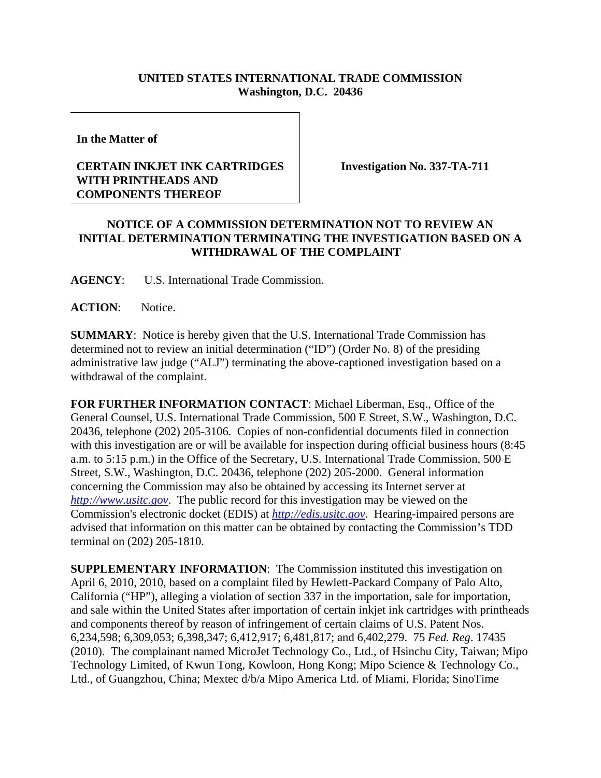## **UNITED STATES INTERNATIONAL TRADE COMMISSION Washington, D.C. 20436**

**In the Matter of** 

## **CERTAIN INKJET INK CARTRIDGES WITH PRINTHEADS AND COMPONENTS THEREOF**

**Investigation No. 337-TA-711**

## **NOTICE OF A COMMISSION DETERMINATION NOT TO REVIEW AN INITIAL DETERMINATION TERMINATING THE INVESTIGATION BASED ON A WITHDRAWAL OF THE COMPLAINT**

**AGENCY**: U.S. International Trade Commission.

ACTION: Notice.

**SUMMARY**: Notice is hereby given that the U.S. International Trade Commission has determined not to review an initial determination ("ID") (Order No. 8) of the presiding administrative law judge ("ALJ") terminating the above-captioned investigation based on a withdrawal of the complaint.

**FOR FURTHER INFORMATION CONTACT**: Michael Liberman, Esq., Office of the General Counsel, U.S. International Trade Commission, 500 E Street, S.W., Washington, D.C. 20436, telephone (202) 205-3106. Copies of non-confidential documents filed in connection with this investigation are or will be available for inspection during official business hours (8:45 a.m. to 5:15 p.m.) in the Office of the Secretary, U.S. International Trade Commission, 500 E Street, S.W., Washington, D.C. 20436, telephone (202) 205-2000. General information concerning the Commission may also be obtained by accessing its Internet server at *http://www.usitc.gov*. The public record for this investigation may be viewed on the Commission's electronic docket (EDIS) at *http://edis.usitc.gov*. Hearing-impaired persons are advised that information on this matter can be obtained by contacting the Commission's TDD terminal on (202) 205-1810.

**SUPPLEMENTARY INFORMATION:** The Commission instituted this investigation on April 6, 2010, 2010, based on a complaint filed by Hewlett-Packard Company of Palo Alto, California ("HP"), alleging a violation of section 337 in the importation, sale for importation, and sale within the United States after importation of certain inkjet ink cartridges with printheads and components thereof by reason of infringement of certain claims of U.S. Patent Nos. 6,234,598; 6,309,053; 6,398,347; 6,412,917; 6,481,817; and 6,402,279. 75 *Fed. Reg*. 17435 (2010). The complainant named MicroJet Technology Co., Ltd., of Hsinchu City, Taiwan; Mipo Technology Limited, of Kwun Tong, Kowloon, Hong Kong; Mipo Science & Technology Co., Ltd., of Guangzhou, China; Mextec d/b/a Mipo America Ltd. of Miami, Florida; SinoTime